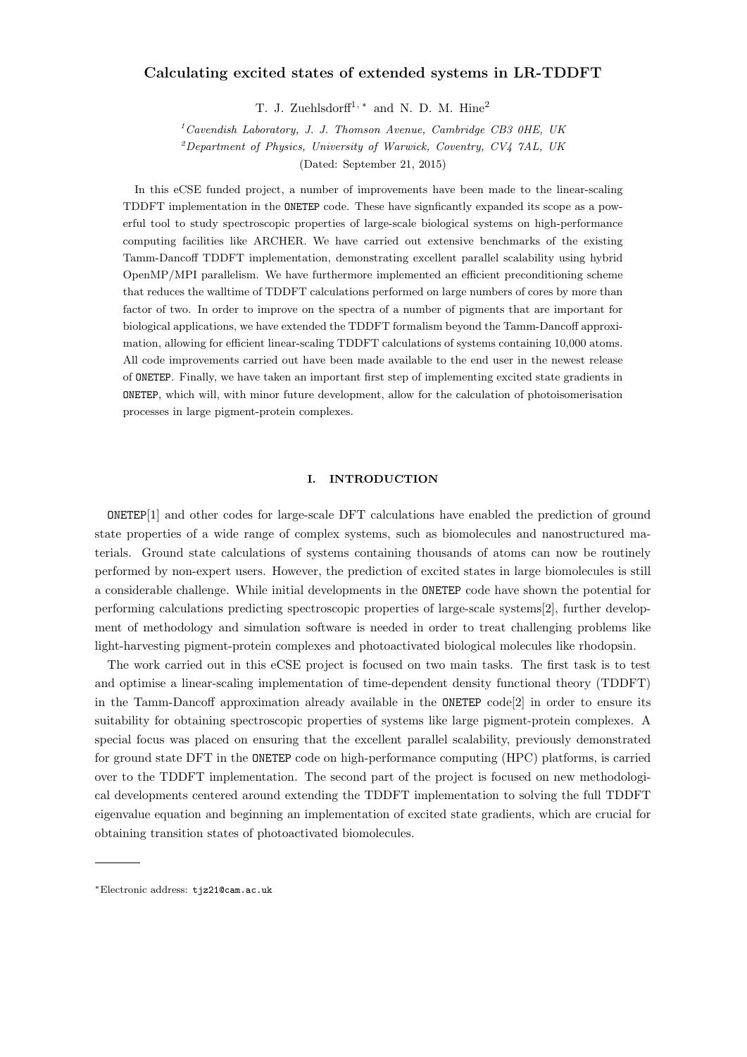# Calculating excited states of extended systems in LR-TDDFT

T. J. Zuehlsdorff<sup>1, \*</sup> and N. D. M. Hine<sup>2</sup>

 $1$ <sup>1</sup> Cavendish Laboratory, J. J. Thomson Avenue, Cambridge CB3 0HE, UK

<sup>2</sup>Department of Physics, University of Warwick, Coventry, CV4 7AL, UK

(Dated: September 21, 2015)

In this eCSE funded project, a number of improvements have been made to the linear-scaling TDDFT implementation in the ONETEP code. These have signficantly expanded its scope as a powerful tool to study spectroscopic properties of large-scale biological systems on high-performance computing facilities like ARCHER. We have carried out extensive benchmarks of the existing Tamm-Dancoff TDDFT implementation, demonstrating excellent parallel scalability using hybrid OpenMP/MPI parallelism. We have furthermore implemented an efficient preconditioning scheme that reduces the walltime of TDDFT calculations performed on large numbers of cores by more than factor of two. In order to improve on the spectra of a number of pigments that are important for biological applications, we have extended the TDDFT formalism beyond the Tamm-Dancoff approximation, allowing for efficient linear-scaling TDDFT calculations of systems containing 10,000 atoms. All code improvements carried out have been made available to the end user in the newest release of ONETEP. Finally, we have taken an important first step of implementing excited state gradients in ONETEP, which will, with minor future development, allow for the calculation of photoisomerisation processes in large pigment-protein complexes.

### I. INTRODUCTION

ONETEP[1] and other codes for large-scale DFT calculations have enabled the prediction of ground state properties of a wide range of complex systems, such as biomolecules and nanostructured materials. Ground state calculations of systems containing thousands of atoms can now be routinely performed by non-expert users. However, the prediction of excited states in large biomolecules is still a considerable challenge. While initial developments in the ONETEP code have shown the potential for performing calculations predicting spectroscopic properties of large-scale systems[2], further development of methodology and simulation software is needed in order to treat challenging problems like light-harvesting pigment-protein complexes and photoactivated biological molecules like rhodopsin.

The work carried out in this eCSE project is focused on two main tasks. The first task is to test and optimise a linear-scaling implementation of time-dependent density functional theory (TDDFT) in the Tamm-Dancoff approximation already available in the ONETEP code[2] in order to ensure its suitability for obtaining spectroscopic properties of systems like large pigment-protein complexes. A special focus was placed on ensuring that the excellent parallel scalability, previously demonstrated for ground state DFT in the ONETEP code on high-performance computing (HPC) platforms, is carried over to the TDDFT implementation. The second part of the project is focused on new methodological developments centered around extending the TDDFT implementation to solving the full TDDFT eigenvalue equation and beginning an implementation of excited state gradients, which are crucial for obtaining transition states of photoactivated biomolecules.

<sup>∗</sup>Electronic address: tjz21@cam.ac.uk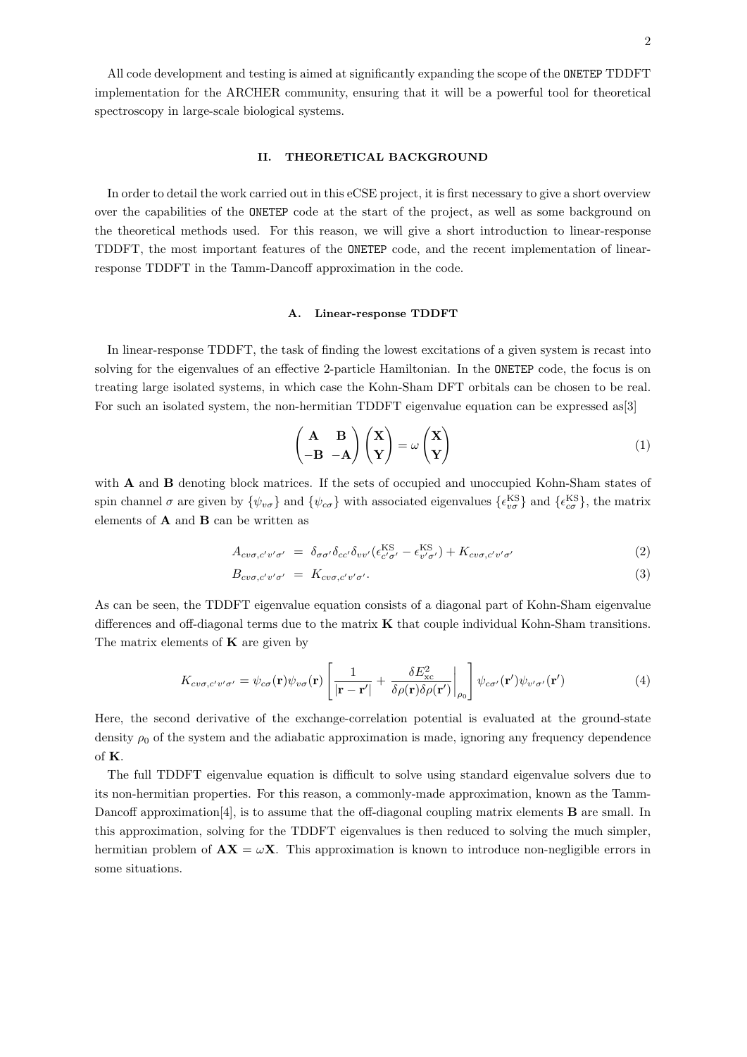## II. THEORETICAL BACKGROUND

In order to detail the work carried out in this eCSE project, it is first necessary to give a short overview over the capabilities of the ONETEP code at the start of the project, as well as some background on the theoretical methods used. For this reason, we will give a short introduction to linear-response TDDFT, the most important features of the ONETEP code, and the recent implementation of linearresponse TDDFT in the Tamm-Dancoff approximation in the code.

#### A. Linear-response TDDFT

In linear-response TDDFT, the task of finding the lowest excitations of a given system is recast into solving for the eigenvalues of an effective 2-particle Hamiltonian. In the ONETEP code, the focus is on treating large isolated systems, in which case the Kohn-Sham DFT orbitals can be chosen to be real. For such an isolated system, the non-hermitian TDDFT eigenvalue equation can be expressed as[3]

$$
\begin{pmatrix} A & B \\ -B & -A \end{pmatrix} \begin{pmatrix} X \\ Y \end{pmatrix} = \omega \begin{pmatrix} X \\ Y \end{pmatrix}
$$
 (1)

with **A** and **B** denoting block matrices. If the sets of occupied and unoccupied Kohn-Sham states of spin channel  $\sigma$  are given by  $\{\psi_{\nu\sigma}\}\$  and  $\{\psi_{c\sigma}\}\$  with associated eigenvalues  $\{\epsilon_{\nu\sigma}^{\rm KS}\}\$  and  $\{\epsilon_{c\sigma}^{\rm KS}\}\$ , the matrix elements of  $\bf{A}$  and  $\bf{B}$  can be written as

$$
A_{cv\sigma,c'v'\sigma'} = \delta_{\sigma\sigma'}\delta_{cc'}\delta_{vv'}(\epsilon_{c'\sigma'}^{KS} - \epsilon_{v'\sigma'}^{KS}) + K_{cv\sigma,c'v'\sigma'} \tag{2}
$$

$$
B_{cv\sigma,c'v'\sigma'} = K_{cv\sigma,c'v'\sigma'}.
$$
\n(3)

As can be seen, the TDDFT eigenvalue equation consists of a diagonal part of Kohn-Sham eigenvalue differences and off-diagonal terms due to the matrix  $\bf{K}$  that couple individual Kohn-Sham transitions. The matrix elements of  $\bf{K}$  are given by

$$
K_{cv\sigma,c'v'\sigma'} = \psi_{c\sigma}(\mathbf{r})\psi_{v\sigma}(\mathbf{r}) \left[ \frac{1}{|\mathbf{r} - \mathbf{r}'|} + \frac{\delta E_{\rm xc}^2}{\delta \rho(\mathbf{r})\delta \rho(\mathbf{r}')} \bigg|_{\rho_0} \right] \psi_{c\sigma'}(\mathbf{r}')\psi_{v'\sigma'}(\mathbf{r}')
$$
(4)

Here, the second derivative of the exchange-correlation potential is evaluated at the ground-state density  $\rho_0$  of the system and the adiabatic approximation is made, ignoring any frequency dependence of K.

The full TDDFT eigenvalue equation is difficult to solve using standard eigenvalue solvers due to its non-hermitian properties. For this reason, a commonly-made approximation, known as the Tamm-Dancoff approximation [4], is to assume that the off-diagonal coupling matrix elements **B** are small. In this approximation, solving for the TDDFT eigenvalues is then reduced to solving the much simpler, hermitian problem of  $AX = \omega X$ . This approximation is known to introduce non-negligible errors in some situations.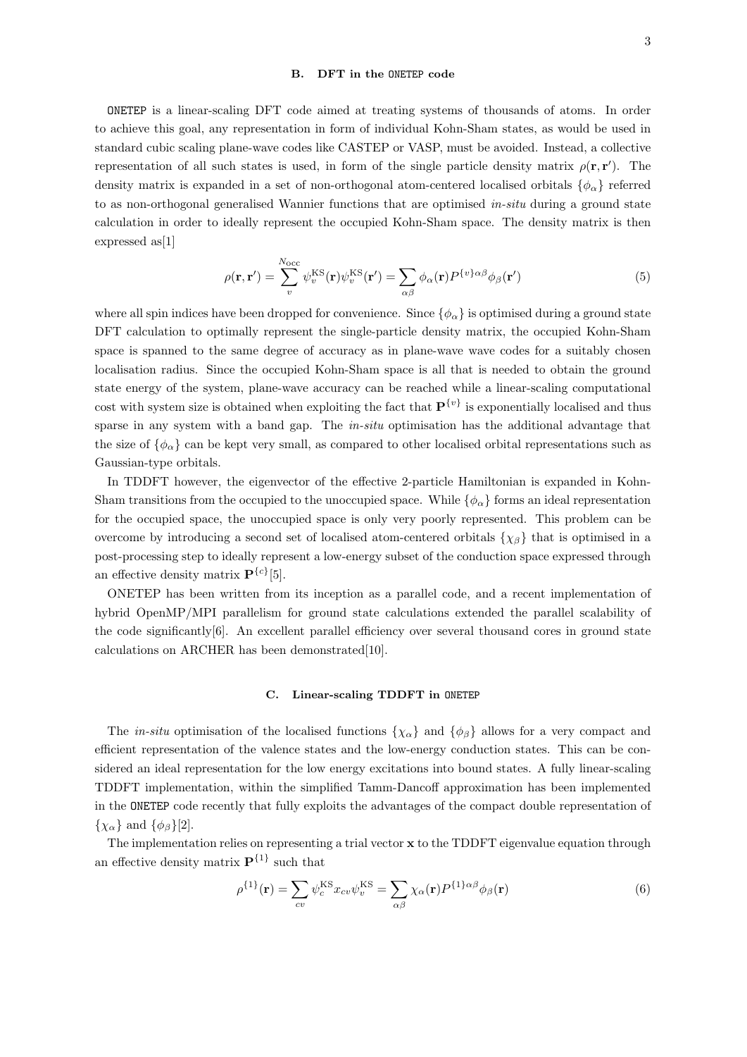#### B. DFT in the ONETEP code

ONETEP is a linear-scaling DFT code aimed at treating systems of thousands of atoms. In order to achieve this goal, any representation in form of individual Kohn-Sham states, as would be used in standard cubic scaling plane-wave codes like CASTEP or VASP, must be avoided. Instead, a collective representation of all such states is used, in form of the single particle density matrix  $\rho(\mathbf{r}, \mathbf{r}')$ . The density matrix is expanded in a set of non-orthogonal atom-centered localised orbitals  $\{\phi_{\alpha}\}\$  referred to as non-orthogonal generalised Wannier functions that are optimised in-situ during a ground state calculation in order to ideally represent the occupied Kohn-Sham space. The density matrix is then expressed as[1]

$$
\rho(\mathbf{r}, \mathbf{r}') = \sum_{v}^{N_{\text{occ}}} \psi_{v}^{\text{KS}}(\mathbf{r}) \psi_{v}^{\text{KS}}(\mathbf{r}') = \sum_{\alpha \beta} \phi_{\alpha}(\mathbf{r}) P^{\{v\} \alpha \beta} \phi_{\beta}(\mathbf{r}')
$$
(5)

where all spin indices have been dropped for convenience. Since  $\{\phi_{\alpha}\}\$ is optimised during a ground state DFT calculation to optimally represent the single-particle density matrix, the occupied Kohn-Sham space is spanned to the same degree of accuracy as in plane-wave wave codes for a suitably chosen localisation radius. Since the occupied Kohn-Sham space is all that is needed to obtain the ground state energy of the system, plane-wave accuracy can be reached while a linear-scaling computational cost with system size is obtained when exploiting the fact that  $\mathbf{P}^{\{v\}}$  is exponentially localised and thus sparse in any system with a band gap. The in-situ optimisation has the additional advantage that the size of  $\{\phi_{\alpha}\}\$  can be kept very small, as compared to other localised orbital representations such as Gaussian-type orbitals.

In TDDFT however, the eigenvector of the effective 2-particle Hamiltonian is expanded in Kohn-Sham transitions from the occupied to the unoccupied space. While  $\{\phi_{\alpha}\}\$ forms an ideal representation for the occupied space, the unoccupied space is only very poorly represented. This problem can be overcome by introducing a second set of localised atom-centered orbitals  $\{\chi_\beta\}$  that is optimised in a post-processing step to ideally represent a low-energy subset of the conduction space expressed through an effective density matrix  $\mathbf{P}^{\{c\}}[5]$ .

ONETEP has been written from its inception as a parallel code, and a recent implementation of hybrid OpenMP/MPI parallelism for ground state calculations extended the parallel scalability of the code significantly[6]. An excellent parallel efficiency over several thousand cores in ground state calculations on ARCHER has been demonstrated[10].

## C. Linear-scaling TDDFT in ONETEP

The *in-situ* optimisation of the localised functions  $\{\chi_{\alpha}\}\$  and  $\{\phi_{\beta}\}\$  allows for a very compact and efficient representation of the valence states and the low-energy conduction states. This can be considered an ideal representation for the low energy excitations into bound states. A fully linear-scaling TDDFT implementation, within the simplified Tamm-Dancoff approximation has been implemented in the ONETEP code recently that fully exploits the advantages of the compact double representation of  $\{\chi_{\alpha}\}\$ and  $\{\phi_{\beta}\}[2]$ .

The implementation relies on representing a trial vector  $x$  to the TDDFT eigenvalue equation through an effective density matrix  $\mathbf{P}^{\{1\}}$  such that

$$
\rho^{\{1\}}(\mathbf{r}) = \sum_{cv} \psi_c^{\text{KS}} x_{cv} \psi_v^{\text{KS}} = \sum_{\alpha \beta} \chi_\alpha(\mathbf{r}) P^{\{1\} \alpha \beta} \phi_\beta(\mathbf{r}) \tag{6}
$$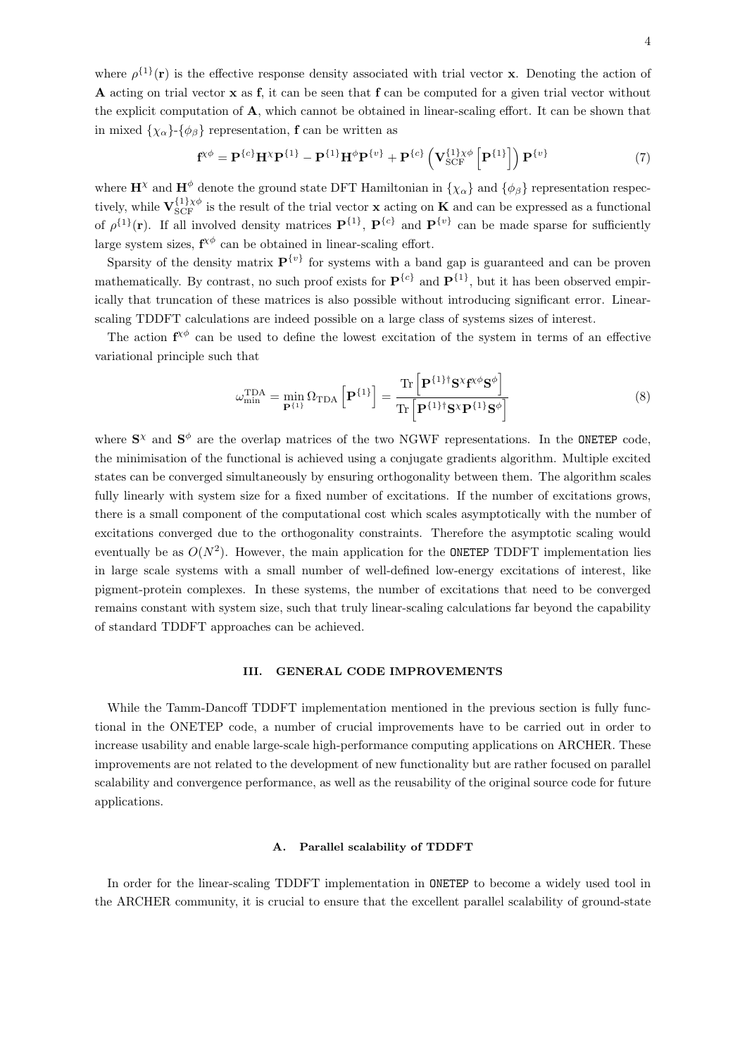where  $\rho^{\{1\}}(\mathbf{r})$  is the effective response density associated with trial vector **x**. Denoting the action of A acting on trial vector x as f, it can be seen that f can be computed for a given trial vector without the explicit computation of A, which cannot be obtained in linear-scaling effort. It can be shown that in mixed  $\{\chi_{\alpha}\}$ - $\{\phi_{\beta}\}\$  representation, **f** can be written as

$$
\mathbf{f}^{\chi\phi} = \mathbf{P}^{\{c\}} \mathbf{H}^{\chi} \mathbf{P}^{\{1\}} - \mathbf{P}^{\{1\}} \mathbf{H}^{\phi} \mathbf{P}^{\{v\}} + \mathbf{P}^{\{c\}} \left( \mathbf{V}_{SCF}^{\{1\} \chi\phi} \left[ \mathbf{P}^{\{1\}} \right] \right) \mathbf{P}^{\{v\}} \tag{7}
$$

where  $\mathbf{H}^{\chi}$  and  $\mathbf{H}^{\phi}$  denote the ground state DFT Hamiltonian in  $\{\chi_{\alpha}\}\$ and  $\{\phi_{\beta}\}\$  representation respectively, while  $\mathbf{V}_{\text{SCF}}^{\{1\}\chi\phi}$  is the result of the trial vector **x** acting on **K** and can be expressed as a functional of  $\rho^{\{1\}}(\mathbf{r})$ . If all involved density matrices  $\mathbf{P}^{\{1\}}$ ,  $\mathbf{P}^{\{c\}}$  and  $\mathbf{P}^{\{v\}}$  can be made sparse for sufficiently large system sizes,  $f^{\chi\phi}$  can be obtained in linear-scaling effort.

Sparsity of the density matrix  $P^{\{v\}}$  for systems with a band gap is guaranteed and can be proven mathematically. By contrast, no such proof exists for  $\mathbf{P}^{\{c\}}$  and  $\mathbf{P}^{\{1\}}$ , but it has been observed empirically that truncation of these matrices is also possible without introducing significant error. Linearscaling TDDFT calculations are indeed possible on a large class of systems sizes of interest.

The action  $f^{\chi\phi}$  can be used to define the lowest excitation of the system in terms of an effective variational principle such that

$$
\omega_{\min}^{\text{TDA}} = \min_{\mathbf{P}^{\{1\}}} \Omega_{\text{TDA}} \left[ \mathbf{P}^{\{1\}} \right] = \frac{\text{Tr} \left[ \mathbf{P}^{\{1\} \dagger} \mathbf{S}^{\chi} \mathbf{f}^{\chi \phi} \mathbf{S}^{\phi} \right]}{\text{Tr} \left[ \mathbf{P}^{\{1\} \dagger} \mathbf{S}^{\chi} \mathbf{P}^{\{1\} \dagger} \mathbf{S}^{\phi} \right]}
$$
(8)

where  $S^{\chi}$  and  $S^{\phi}$  are the overlap matrices of the two NGWF representations. In the ONETEP code, the minimisation of the functional is achieved using a conjugate gradients algorithm. Multiple excited states can be converged simultaneously by ensuring orthogonality between them. The algorithm scales fully linearly with system size for a fixed number of excitations. If the number of excitations grows, there is a small component of the computational cost which scales asymptotically with the number of excitations converged due to the orthogonality constraints. Therefore the asymptotic scaling would eventually be as  $O(N^2)$ . However, the main application for the **ONETEP** TDDFT implementation lies in large scale systems with a small number of well-defined low-energy excitations of interest, like pigment-protein complexes. In these systems, the number of excitations that need to be converged remains constant with system size, such that truly linear-scaling calculations far beyond the capability of standard TDDFT approaches can be achieved.

#### III. GENERAL CODE IMPROVEMENTS

While the Tamm-Dancoff TDDFT implementation mentioned in the previous section is fully functional in the ONETEP code, a number of crucial improvements have to be carried out in order to increase usability and enable large-scale high-performance computing applications on ARCHER. These improvements are not related to the development of new functionality but are rather focused on parallel scalability and convergence performance, as well as the reusability of the original source code for future applications.

## A. Parallel scalability of TDDFT

In order for the linear-scaling TDDFT implementation in ONETEP to become a widely used tool in the ARCHER community, it is crucial to ensure that the excellent parallel scalability of ground-state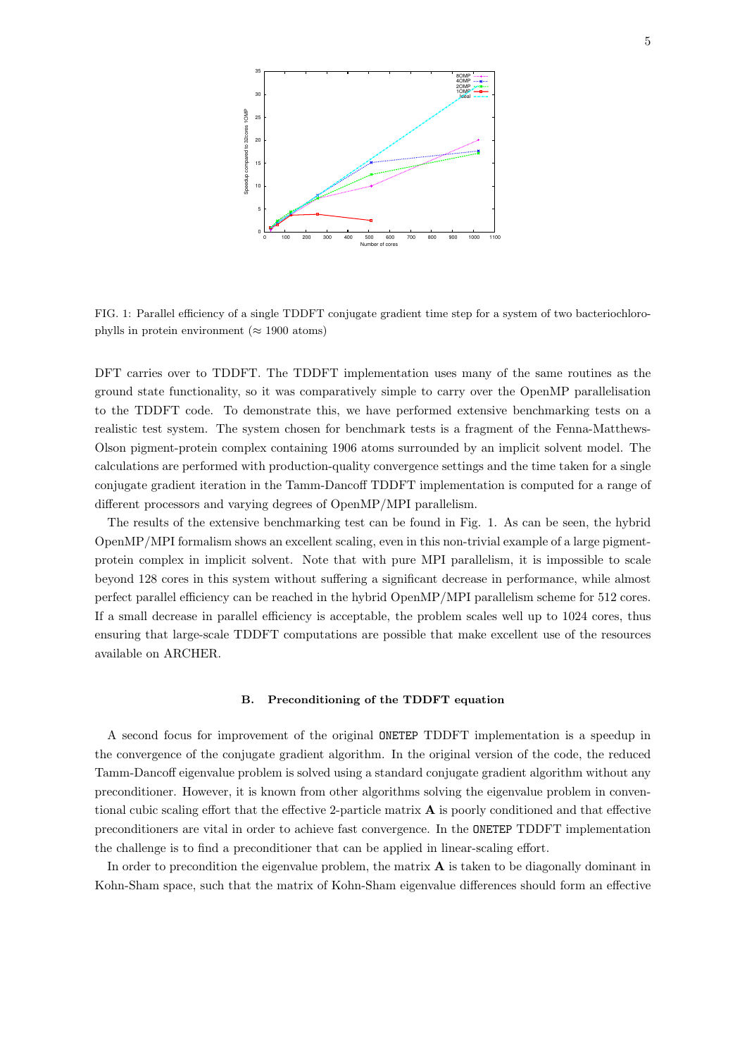

FIG. 1: Parallel efficiency of a single TDDFT conjugate gradient time step for a system of two bacteriochlorophylls in protein environment ( $\approx 1900$  atoms)

DFT carries over to TDDFT. The TDDFT implementation uses many of the same routines as the ground state functionality, so it was comparatively simple to carry over the OpenMP parallelisation to the TDDFT code. To demonstrate this, we have performed extensive benchmarking tests on a realistic test system. The system chosen for benchmark tests is a fragment of the Fenna-Matthews-Olson pigment-protein complex containing 1906 atoms surrounded by an implicit solvent model. The calculations are performed with production-quality convergence settings and the time taken for a single conjugate gradient iteration in the Tamm-Dancoff TDDFT implementation is computed for a range of different processors and varying degrees of OpenMP/MPI parallelism.

The results of the extensive benchmarking test can be found in Fig. 1. As can be seen, the hybrid OpenMP/MPI formalism shows an excellent scaling, even in this non-trivial example of a large pigmentprotein complex in implicit solvent. Note that with pure MPI parallelism, it is impossible to scale beyond 128 cores in this system without suffering a significant decrease in performance, while almost perfect parallel efficiency can be reached in the hybrid OpenMP/MPI parallelism scheme for 512 cores. If a small decrease in parallel efficiency is acceptable, the problem scales well up to 1024 cores, thus ensuring that large-scale TDDFT computations are possible that make excellent use of the resources available on ARCHER.

#### B. Preconditioning of the TDDFT equation

A second focus for improvement of the original ONETEP TDDFT implementation is a speedup in the convergence of the conjugate gradient algorithm. In the original version of the code, the reduced Tamm-Dancoff eigenvalue problem is solved using a standard conjugate gradient algorithm without any preconditioner. However, it is known from other algorithms solving the eigenvalue problem in conventional cubic scaling effort that the effective 2-particle matrix  $\bf{A}$  is poorly conditioned and that effective preconditioners are vital in order to achieve fast convergence. In the ONETEP TDDFT implementation the challenge is to find a preconditioner that can be applied in linear-scaling effort.

In order to precondition the eigenvalue problem, the matrix  $\bf{A}$  is taken to be diagonally dominant in Kohn-Sham space, such that the matrix of Kohn-Sham eigenvalue differences should form an effective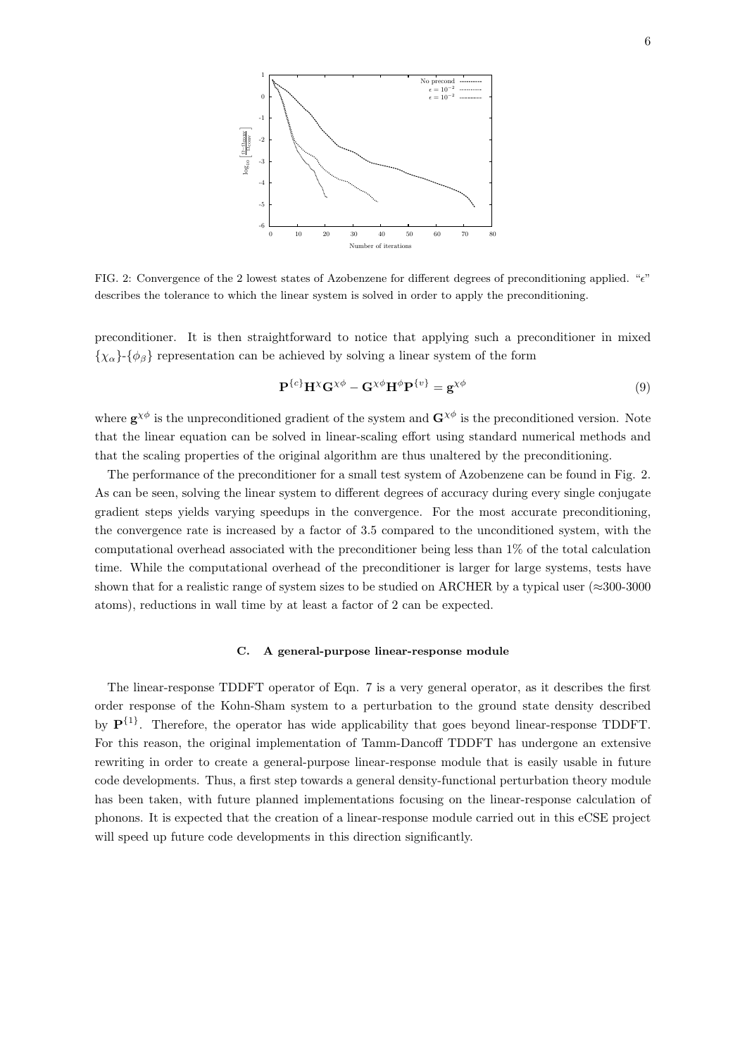

FIG. 2: Convergence of the 2 lowest states of Azobenzene for different degrees of preconditioning applied. " $e$ " describes the tolerance to which the linear system is solved in order to apply the preconditioning.

preconditioner. It is then straightforward to notice that applying such a preconditioner in mixed  ${x<sub>\alpha</sub>}$   ${ $\phi_{\beta}$ }$  representation can be achieved by solving a linear system of the form

$$
\mathbf{P}^{\{c\}} \mathbf{H}^{\chi} \mathbf{G}^{\chi \phi} - \mathbf{G}^{\chi \phi} \mathbf{H}^{\phi} \mathbf{P}^{\{v\}} = \mathbf{g}^{\chi \phi} \tag{9}
$$

where  $\mathbf{g}^{\chi\phi}$  is the unpreconditioned gradient of the system and  $\mathbf{G}^{\chi\phi}$  is the preconditioned version. Note that the linear equation can be solved in linear-scaling effort using standard numerical methods and that the scaling properties of the original algorithm are thus unaltered by the preconditioning.

The performance of the preconditioner for a small test system of Azobenzene can be found in Fig. 2. As can be seen, solving the linear system to different degrees of accuracy during every single conjugate gradient steps yields varying speedups in the convergence. For the most accurate preconditioning, the convergence rate is increased by a factor of 3.5 compared to the unconditioned system, with the computational overhead associated with the preconditioner being less than 1% of the total calculation time. While the computational overhead of the preconditioner is larger for large systems, tests have shown that for a realistic range of system sizes to be studied on ARCHER by a typical user ( $\approx$ 300-3000 atoms), reductions in wall time by at least a factor of 2 can be expected.

## C. A general-purpose linear-response module

The linear-response TDDFT operator of Eqn. 7 is a very general operator, as it describes the first order response of the Kohn-Sham system to a perturbation to the ground state density described by  $\mathbf{P}^{\{1\}}$ . Therefore, the operator has wide applicability that goes beyond linear-response TDDFT. For this reason, the original implementation of Tamm-Dancoff TDDFT has undergone an extensive rewriting in order to create a general-purpose linear-response module that is easily usable in future code developments. Thus, a first step towards a general density-functional perturbation theory module has been taken, with future planned implementations focusing on the linear-response calculation of phonons. It is expected that the creation of a linear-response module carried out in this eCSE project will speed up future code developments in this direction significantly.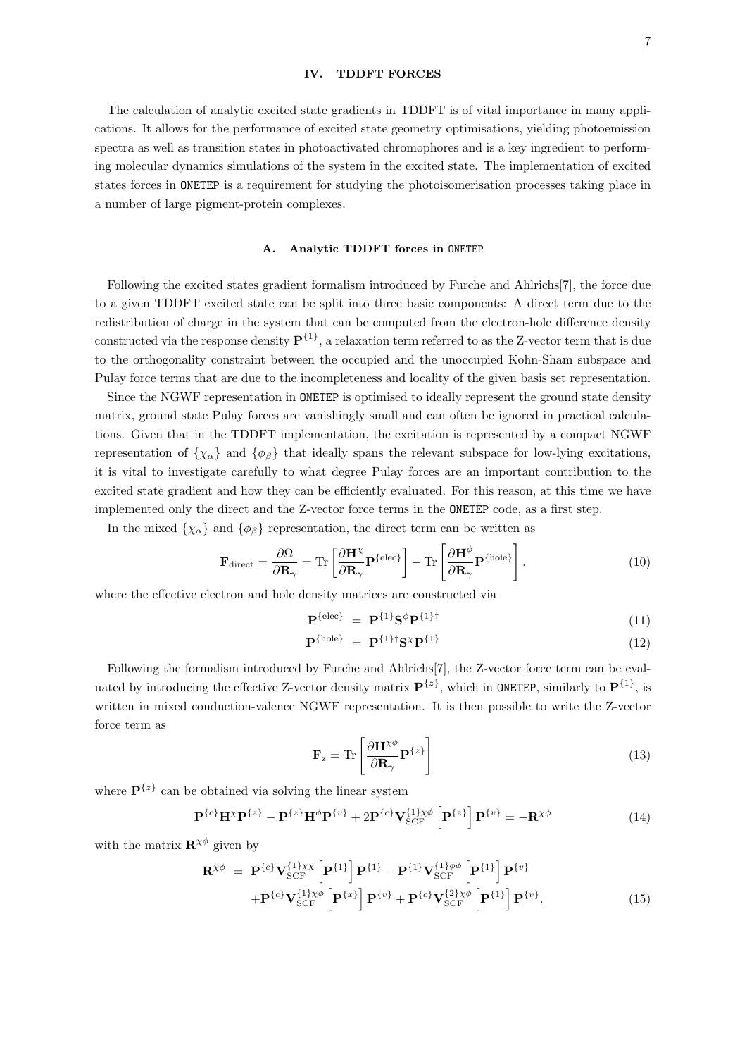#### IV. TDDFT FORCES

The calculation of analytic excited state gradients in TDDFT is of vital importance in many applications. It allows for the performance of excited state geometry optimisations, yielding photoemission spectra as well as transition states in photoactivated chromophores and is a key ingredient to performing molecular dynamics simulations of the system in the excited state. The implementation of excited states forces in ONETEP is a requirement for studying the photoisomerisation processes taking place in a number of large pigment-protein complexes.

# A. Analytic TDDFT forces in ONETEP

Following the excited states gradient formalism introduced by Furche and Ahlrichs[7], the force due to a given TDDFT excited state can be split into three basic components: A direct term due to the redistribution of charge in the system that can be computed from the electron-hole difference density constructed via the response density  $\mathbf{P}^{\{1\}}$ , a relaxation term referred to as the Z-vector term that is due to the orthogonality constraint between the occupied and the unoccupied Kohn-Sham subspace and Pulay force terms that are due to the incompleteness and locality of the given basis set representation.

Since the NGWF representation in ONETEP is optimised to ideally represent the ground state density matrix, ground state Pulay forces are vanishingly small and can often be ignored in practical calculations. Given that in the TDDFT implementation, the excitation is represented by a compact NGWF representation of  $\{\chi_{\alpha}\}\$ and  $\{\phi_{\beta}\}\$  that ideally spans the relevant subspace for low-lying excitations, it is vital to investigate carefully to what degree Pulay forces are an important contribution to the excited state gradient and how they can be efficiently evaluated. For this reason, at this time we have implemented only the direct and the Z-vector force terms in the ONETEP code, as a first step.

In the mixed  $\{\chi_{\alpha}\}\$ and  $\{\phi_{\beta}\}\$  representation, the direct term can be written as

$$
\mathbf{F}_{\text{direct}} = \frac{\partial \Omega}{\partial \mathbf{R}_{\gamma}} = \text{Tr} \left[ \frac{\partial \mathbf{H}^{\chi}}{\partial \mathbf{R}_{\gamma}} \mathbf{P}^{\{\text{elec}\}} \right] - \text{Tr} \left[ \frac{\partial \mathbf{H}^{\phi}}{\partial \mathbf{R}_{\gamma}} \mathbf{P}^{\{\text{hole}\}} \right]. \tag{10}
$$

where the effective electron and hole density matrices are constructed via

$$
\mathbf{P}^{\{\text{elec}\}} = \mathbf{P}^{\{1\}} \mathbf{S}^{\phi} \mathbf{P}^{\{1\}\dagger} \tag{11}
$$

$$
\mathbf{P}^{\{\text{hole}\}} = \mathbf{P}^{\{1\}\dagger} \mathbf{S}^{\chi} \mathbf{P}^{\{1\}} \tag{12}
$$

Following the formalism introduced by Furche and Ahlrichs[7], the Z-vector force term can be evaluated by introducing the effective Z-vector density matrix  $\mathbf{P}^{\{z\}}$ , which in ONETEP, similarly to  $\mathbf{P}^{\{1\}}$ , is written in mixed conduction-valence NGWF representation. It is then possible to write the Z-vector force term as

$$
\mathbf{F}_{z} = \text{Tr}\left[\frac{\partial \mathbf{H}^{\chi\phi}}{\partial \mathbf{R}_{\gamma}} \mathbf{P}^{\{z\}}\right]
$$
(13)

where  $\mathbf{P}^{\{z\}}$  can be obtained via solving the linear system

$$
\mathbf{P}^{\{c\}}\mathbf{H}^{\chi}\mathbf{P}^{\{z\}} - \mathbf{P}^{\{z\}}\mathbf{H}^{\phi}\mathbf{P}^{\{v\}} + 2\mathbf{P}^{\{c\}}\mathbf{V}_{\text{SCF}}^{\{1\}\chi\phi}\left[\mathbf{P}^{\{z\}}\right]\mathbf{P}^{\{v\}} = -\mathbf{R}^{\chi\phi}
$$
\n(14)

with the matrix  $\mathbf{R}^{\chi\phi}$  given by

$$
\mathbf{R}^{\chi\phi} = \mathbf{P}^{\{c\}} \mathbf{V}_{\text{SCF}}^{\{1\}\chi\chi} \left[ \mathbf{P}^{\{1\}} \right] \mathbf{P}^{\{1\}} - \mathbf{P}^{\{1\}} \mathbf{V}_{\text{SCF}}^{\{1\}\phi\phi} \left[ \mathbf{P}^{\{1\}} \right] \mathbf{P}^{\{v\}} + \mathbf{P}^{\{c\}} \mathbf{V}_{\text{SCF}}^{\{1\}\chi\phi} \left[ \mathbf{P}^{\{x\}} \right] \mathbf{P}^{\{v\}} + \mathbf{P}^{\{c\}} \mathbf{V}_{\text{SCF}}^{\{2\}\chi\phi} \left[ \mathbf{P}^{\{1\}} \right] \mathbf{P}^{\{v\}}.
$$
\n(15)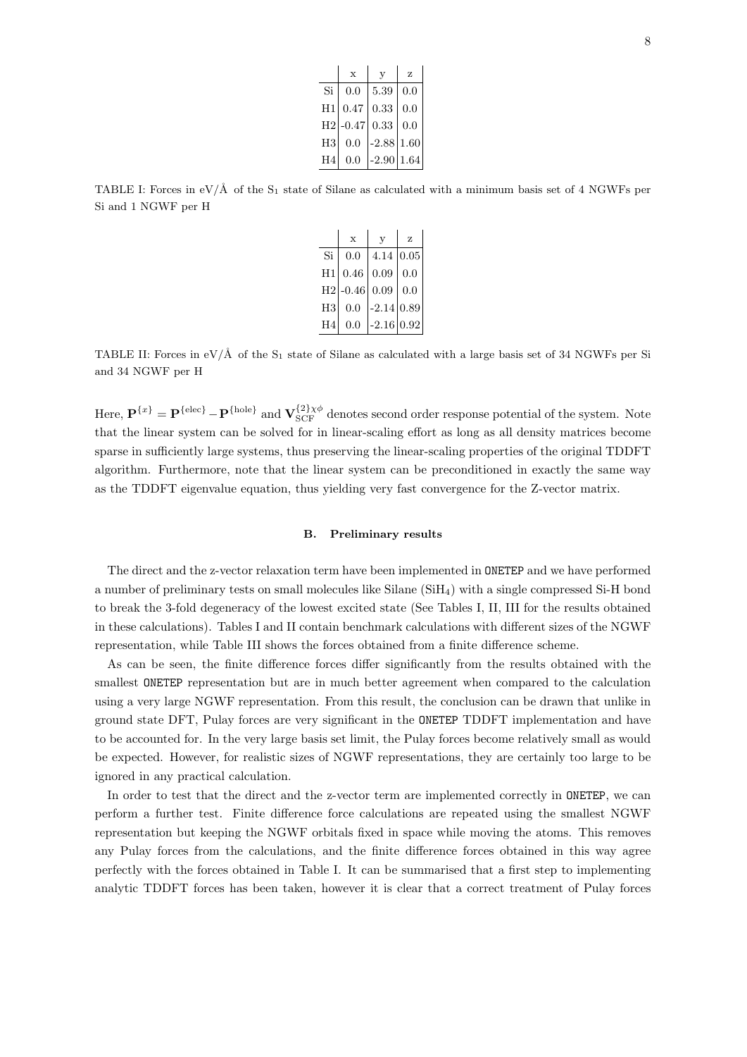|                | X       | V       | z    |
|----------------|---------|---------|------|
| Si             | 0.0     | 5.39    | 0.0  |
| H1             | 0.47    | 0.33    | 0.0  |
| H <sub>2</sub> | $-0.47$ | 0.33    | 0.0  |
| $_{\rm H3}$    | 0.0     | $-2.88$ | 1.60 |
| H4             | 0.0     | $-2.90$ | 1.64 |

TABLE I: Forces in  $eV/\AA$  of the S<sub>1</sub> state of Silane as calculated with a minimum basis set of 4 NGWFs per Si and 1 NGWF per H

|                | $\mathbf x$ | V            | z    |
|----------------|-------------|--------------|------|
| Si             | 0.0         | 4.14         | 0.05 |
| $_{\rm H1}$    | 0.46        | 0.09         | 0.0  |
| H <sub>2</sub> | $-0.46$     | 0.09         | 0.0  |
| $_{\rm H3}$    | 0.0         | $-2.14 0.89$ |      |
| H <sub>4</sub> | 0.0         | $-2.16$      | 0.92 |

TABLE II: Forces in  $eV/\AA$  of the S<sub>1</sub> state of Silane as calculated with a large basis set of 34 NGWFs per Si and 34 NGWF per H

Here,  $\mathbf{P}^{\{x\}} = \mathbf{P}^{\{\text{elec}\}} - \mathbf{P}^{\{\text{hole}\}}$  and  $\mathbf{V}_{\text{SCF}}^{\{2\}\chi\phi}$  denotes second order response potential of the system. Note that the linear system can be solved for in linear-scaling effort as long as all density matrices become sparse in sufficiently large systems, thus preserving the linear-scaling properties of the original TDDFT algorithm. Furthermore, note that the linear system can be preconditioned in exactly the same way as the TDDFT eigenvalue equation, thus yielding very fast convergence for the Z-vector matrix.

#### B. Preliminary results

The direct and the z-vector relaxation term have been implemented in ONETEP and we have performed a number of preliminary tests on small molecules like Silane (SiH4) with a single compressed Si-H bond to break the 3-fold degeneracy of the lowest excited state (See Tables I, II, III for the results obtained in these calculations). Tables I and II contain benchmark calculations with different sizes of the NGWF representation, while Table III shows the forces obtained from a finite difference scheme.

As can be seen, the finite difference forces differ significantly from the results obtained with the smallest ONETEP representation but are in much better agreement when compared to the calculation using a very large NGWF representation. From this result, the conclusion can be drawn that unlike in ground state DFT, Pulay forces are very significant in the ONETEP TDDFT implementation and have to be accounted for. In the very large basis set limit, the Pulay forces become relatively small as would be expected. However, for realistic sizes of NGWF representations, they are certainly too large to be ignored in any practical calculation.

In order to test that the direct and the z-vector term are implemented correctly in ONETEP, we can perform a further test. Finite difference force calculations are repeated using the smallest NGWF representation but keeping the NGWF orbitals fixed in space while moving the atoms. This removes any Pulay forces from the calculations, and the finite difference forces obtained in this way agree perfectly with the forces obtained in Table I. It can be summarised that a first step to implementing analytic TDDFT forces has been taken, however it is clear that a correct treatment of Pulay forces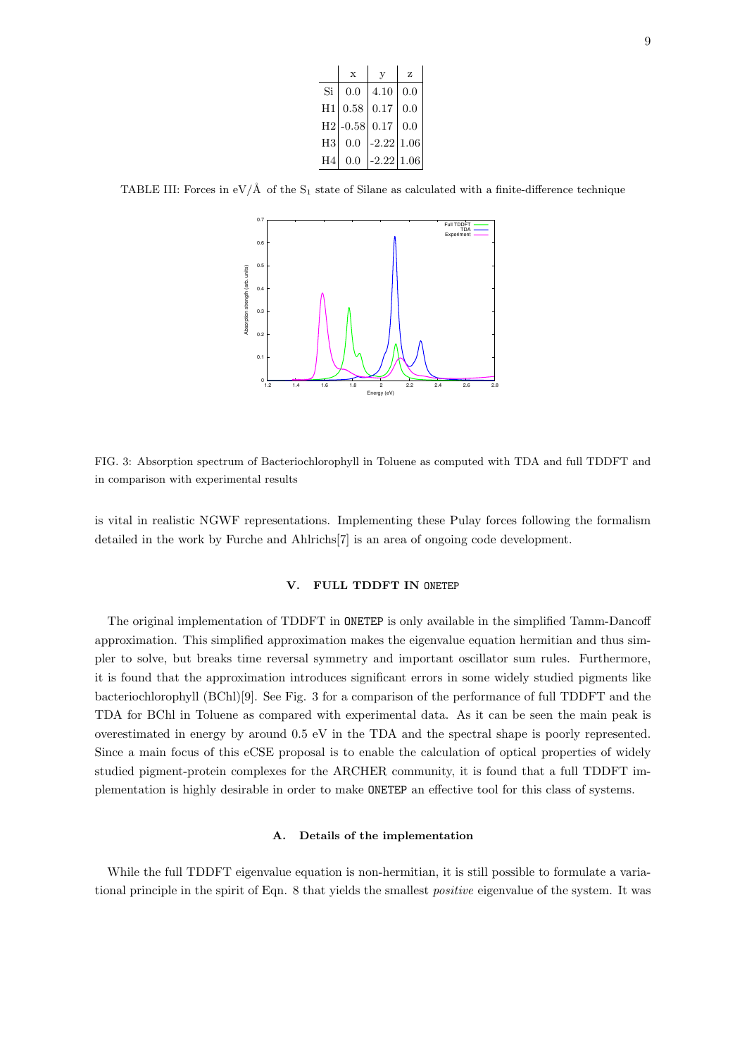|                | $\mathbf x$ | V            | Z    |
|----------------|-------------|--------------|------|
| Si             | 0.0         | 4.10         | 0.0  |
| H1             | 0.58        | 0.17         | 0.0  |
| H2             | $-0.58$     | 0.17         | 0.0  |
| H3             | 0.0         | $-2.22$      | 1.06 |
| H <sub>4</sub> | 0.0         | $-2.22 1.06$ |      |

TABLE III: Forces in  $eV/\text{\AA}$  of the S<sub>1</sub> state of Silane as calculated with a finite-difference technique



FIG. 3: Absorption spectrum of Bacteriochlorophyll in Toluene as computed with TDA and full TDDFT and in comparison with experimental results

is vital in realistic NGWF representations. Implementing these Pulay forces following the formalism detailed in the work by Furche and Ahlrichs[7] is an area of ongoing code development.

## V. FULL TDDFT IN ONETEP

The original implementation of TDDFT in ONETEP is only available in the simplified Tamm-Dancoff approximation. This simplified approximation makes the eigenvalue equation hermitian and thus simpler to solve, but breaks time reversal symmetry and important oscillator sum rules. Furthermore, it is found that the approximation introduces significant errors in some widely studied pigments like bacteriochlorophyll (BChl)[9]. See Fig. 3 for a comparison of the performance of full TDDFT and the TDA for BChl in Toluene as compared with experimental data. As it can be seen the main peak is overestimated in energy by around 0.5 eV in the TDA and the spectral shape is poorly represented. Since a main focus of this eCSE proposal is to enable the calculation of optical properties of widely studied pigment-protein complexes for the ARCHER community, it is found that a full TDDFT implementation is highly desirable in order to make ONETEP an effective tool for this class of systems.

## A. Details of the implementation

While the full TDDFT eigenvalue equation is non-hermitian, it is still possible to formulate a variational principle in the spirit of Eqn. 8 that yields the smallest positive eigenvalue of the system. It was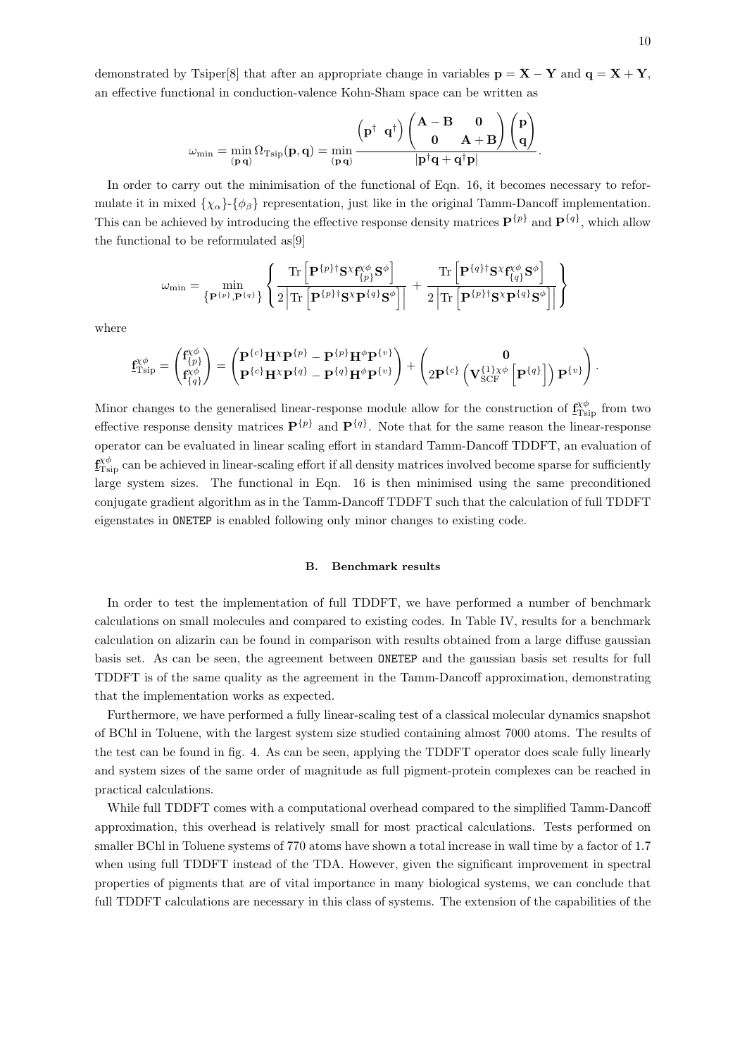demonstrated by Tsiper[8] that after an appropriate change in variables  $p = X - Y$  and  $q = X + Y$ , an effective functional in conduction-valence Kohn-Sham space can be written as

$$
\omega_{\min} = \min_{(\mathbf{p}\,\mathbf{q})} \Omega_{\text{Tsip}}(\mathbf{p},\mathbf{q}) = \min_{(\mathbf{p}\,\mathbf{q})} \frac{\left(\mathbf{p}^\dagger\ \mathbf{q}^\dagger\right)\left(\begin{matrix}\mathbf{A}-\mathbf{B} & \mathbf{0} \\ \mathbf{0} & \mathbf{A}+\mathbf{B} \end{matrix}\right)\left(\begin{matrix}\mathbf{p} \\ \mathbf{q} \end{matrix}\right)}{|\mathbf{p}^\dagger\mathbf{q}+\mathbf{q}^\dagger\mathbf{p}|}.
$$

In order to carry out the minimisation of the functional of Eqn. 16, it becomes necessary to reformulate it in mixed  $\{\chi_{\alpha}\}\{\phi_{\beta}\}\$  representation, just like in the original Tamm-Dancoff implementation. This can be achieved by introducing the effective response density matrices  $\mathbf{P}^{\{p\}}$  and  $\mathbf{P}^{\{q\}}$ , which allow the functional to be reformulated as[9]

$$
\omega_{\min} = \min_{\left\{ \mathbf{P}^{\{p\},\mathbf{P}^{\{q\}}\right\}} \left\{ \frac{\mathrm{Tr}\left[\mathbf{P}^{\{p\}\dagger}\mathbf{S}^{\chi}\mathbf{f}^{\chi\phi}_{\{p\}}\mathbf{S}^{\phi}\right]}{2\left|\mathrm{Tr}\left[\mathbf{P}^{\{p\}\dagger}\mathbf{S}^{\chi}\mathbf{P}^{\{q\}\mathbf{S}^{\phi}\right]}\right|} + \frac{\mathrm{Tr}\left[\mathbf{P}^{\{q\}\dagger}\mathbf{S}^{\chi}\mathbf{f}^{\chi\phi}_{\{q\}}\mathbf{S}^{\phi}\right]}{2\left|\mathrm{Tr}\left[\mathbf{P}^{\{p\}\dagger}\mathbf{S}^{\chi}\mathbf{P}^{\{q\}\mathbf{S}^{\phi}\right]}\right|} \right\}
$$

where

$$
\underline{\mathbf{f}}_{\mathrm{Tsip}}^{\chi\phi}=\begin{pmatrix}\mathbf{f}_{\{p\}}^{\chi\phi}\\ \mathbf{f}_{\{q\}}^{\chi\phi}\end{pmatrix}=\begin{pmatrix}\mathbf{P}^{\{c\}}\mathbf{H}^{\chi}\mathbf{P}^{\{p\}}-\mathbf{P}^{\{p\}}\mathbf{H}^{\phi}\mathbf{P}^{\{v\}}\\ \mathbf{P}^{\{c\}}\mathbf{H}^{\chi}\mathbf{P}^{\{q\}}-\mathbf{P}^{\{q\}}\mathbf{H}^{\phi}\mathbf{P}^{\{v\}}\end{pmatrix}+\begin{pmatrix}\mathbf{0}\\ 2\mathbf{P}^{\{c\}}\left(\mathbf{V}_{\mathrm{SCF}}^{\{1\}\chi\phi}\left[\mathbf{P}^{\{q\}}\right]\right)\mathbf{P}^{\{v\}}\end{pmatrix}.
$$

Minor changes to the generalised linear-response module allow for the construction of  $f_{\text{Tsip}}^{\chi\phi}$  from two effective response density matrices  $\mathbf{P}^{\{p\}}$  and  $\mathbf{P}^{\{q\}}$ . Note that for the same reason the linear-response operator can be evaluated in linear scaling effort in standard Tamm-Dancoff TDDFT, an evaluation of  $f_{\text{Tsip}}^{\chi\phi}$  can be achieved in linear-scaling effort if all density matrices involved become sparse for sufficiently large system sizes. The functional in Eqn. 16 is then minimised using the same preconditioned conjugate gradient algorithm as in the Tamm-Dancoff TDDFT such that the calculation of full TDDFT eigenstates in ONETEP is enabled following only minor changes to existing code.

#### B. Benchmark results

In order to test the implementation of full TDDFT, we have performed a number of benchmark calculations on small molecules and compared to existing codes. In Table IV, results for a benchmark calculation on alizarin can be found in comparison with results obtained from a large diffuse gaussian basis set. As can be seen, the agreement between ONETEP and the gaussian basis set results for full TDDFT is of the same quality as the agreement in the Tamm-Dancoff approximation, demonstrating that the implementation works as expected.

Furthermore, we have performed a fully linear-scaling test of a classical molecular dynamics snapshot of BChl in Toluene, with the largest system size studied containing almost 7000 atoms. The results of the test can be found in fig. 4. As can be seen, applying the TDDFT operator does scale fully linearly and system sizes of the same order of magnitude as full pigment-protein complexes can be reached in practical calculations.

While full TDDFT comes with a computational overhead compared to the simplified Tamm-Dancoff approximation, this overhead is relatively small for most practical calculations. Tests performed on smaller BChl in Toluene systems of 770 atoms have shown a total increase in wall time by a factor of 1.7 when using full TDDFT instead of the TDA. However, given the significant improvement in spectral properties of pigments that are of vital importance in many biological systems, we can conclude that full TDDFT calculations are necessary in this class of systems. The extension of the capabilities of the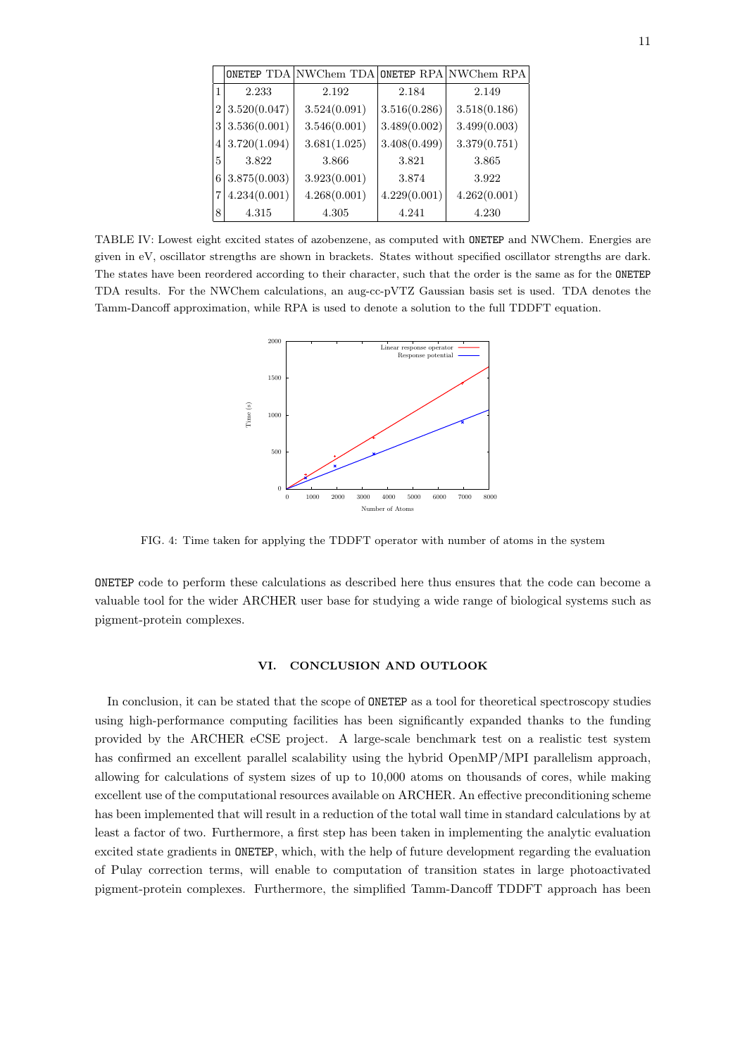|                |              | ONETEP TDA NWChem TDA ONETEP RPA NWChem RPA |              |              |
|----------------|--------------|---------------------------------------------|--------------|--------------|
| 1              | 2.233        | 2.192                                       | 2.184        | 2.149        |
| $\overline{2}$ | 3.520(0.047) | 3.524(0.091)                                | 3.516(0.286) | 3.518(0.186) |
| 3              | 3.536(0.001) | 3.546(0.001)                                | 3.489(0.002) | 3.499(0.003) |
| 4              | 3.720(1.094) | 3.681(1.025)                                | 3.408(0.499) | 3.379(0.751) |
| 5              | 3.822        | 3.866                                       | 3.821        | 3.865        |
| 6              | 3.875(0.003) | 3.923(0.001)                                | 3.874        | 3.922        |
| 7              | 4.234(0.001) | 4.268(0.001)                                | 4.229(0.001) | 4.262(0.001) |
| 8              | 4.315        | 4.305                                       | 4.241        | 4.230        |

TABLE IV: Lowest eight excited states of azobenzene, as computed with ONETEP and NWChem. Energies are given in eV, oscillator strengths are shown in brackets. States without specified oscillator strengths are dark. The states have been reordered according to their character, such that the order is the same as for the ONETEP TDA results. For the NWChem calculations, an aug-cc-pVTZ Gaussian basis set is used. TDA denotes the Tamm-Dancoff approximation, while RPA is used to denote a solution to the full TDDFT equation.



FIG. 4: Time taken for applying the TDDFT operator with number of atoms in the system

ONETEP code to perform these calculations as described here thus ensures that the code can become a valuable tool for the wider ARCHER user base for studying a wide range of biological systems such as pigment-protein complexes.

### VI. CONCLUSION AND OUTLOOK

In conclusion, it can be stated that the scope of ONETEP as a tool for theoretical spectroscopy studies using high-performance computing facilities has been significantly expanded thanks to the funding provided by the ARCHER eCSE project. A large-scale benchmark test on a realistic test system has confirmed an excellent parallel scalability using the hybrid OpenMP/MPI parallelism approach, allowing for calculations of system sizes of up to 10,000 atoms on thousands of cores, while making excellent use of the computational resources available on ARCHER. An effective preconditioning scheme has been implemented that will result in a reduction of the total wall time in standard calculations by at least a factor of two. Furthermore, a first step has been taken in implementing the analytic evaluation excited state gradients in ONETEP, which, with the help of future development regarding the evaluation of Pulay correction terms, will enable to computation of transition states in large photoactivated pigment-protein complexes. Furthermore, the simplified Tamm-Dancoff TDDFT approach has been